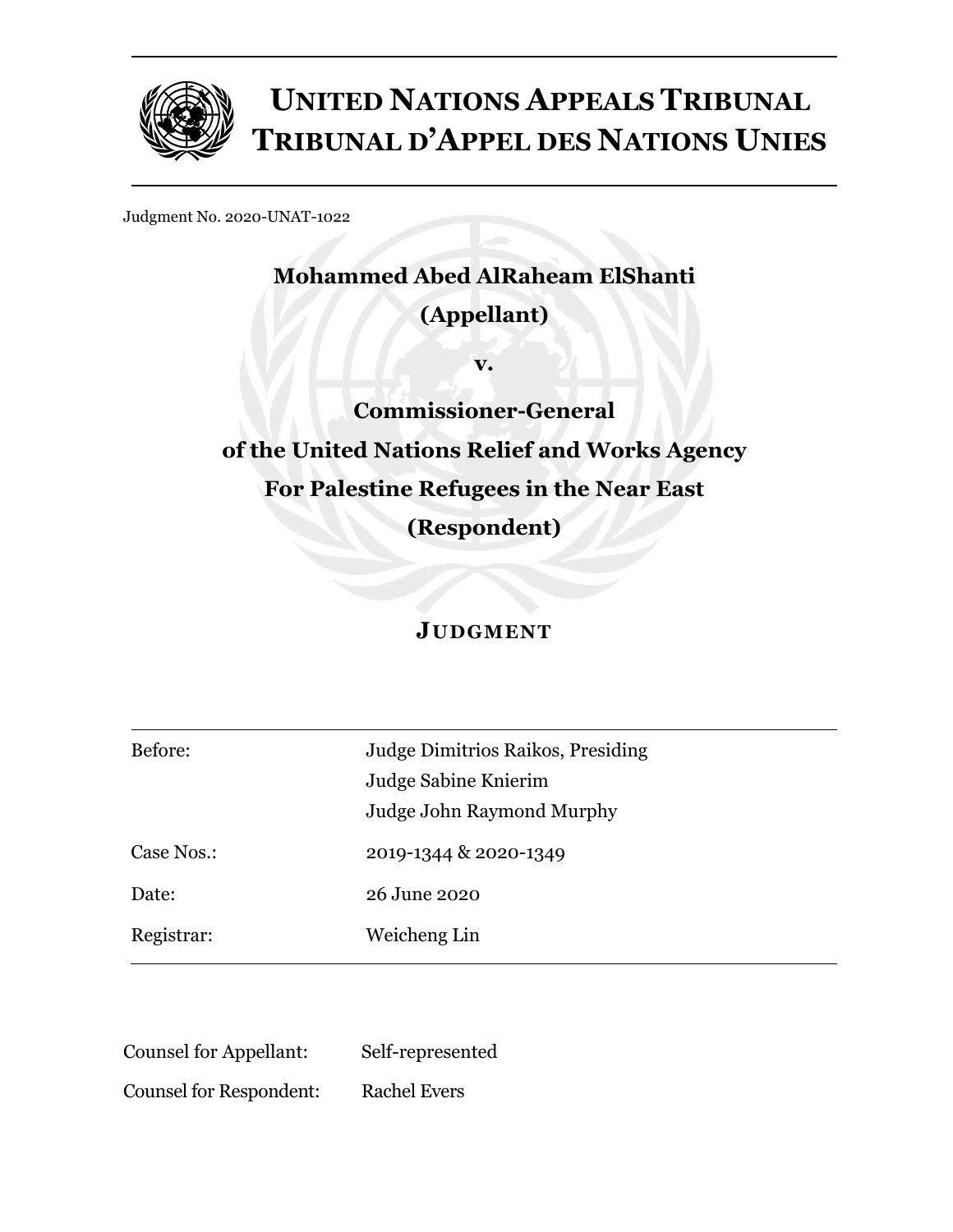

# **UNITED NATIONS APPEALS TRIBUNAL TRIBUNAL D'APPEL DES NATIONS UNIES**

Judgment No. 2020-UNAT-1022

# **Mohammed Abed AlRaheam ElShanti**

### **(Appellant)**

**v.**

**Commissioner-General of the United Nations Relief and Works Agency For Palestine Refugees in the Near East (Respondent)**

## **JUDGMENT**

| Before:    | Judge Dimitrios Raikos, Presiding<br>Judge Sabine Knierim<br>Judge John Raymond Murphy |
|------------|----------------------------------------------------------------------------------------|
| Case Nos.: | 2019-1344 & 2020-1349                                                                  |
| Date:      | 26 June 2020                                                                           |
| Registrar: | Weicheng Lin                                                                           |

Counsel for Appellant: Self-represented

Counsel for Respondent: Rachel Evers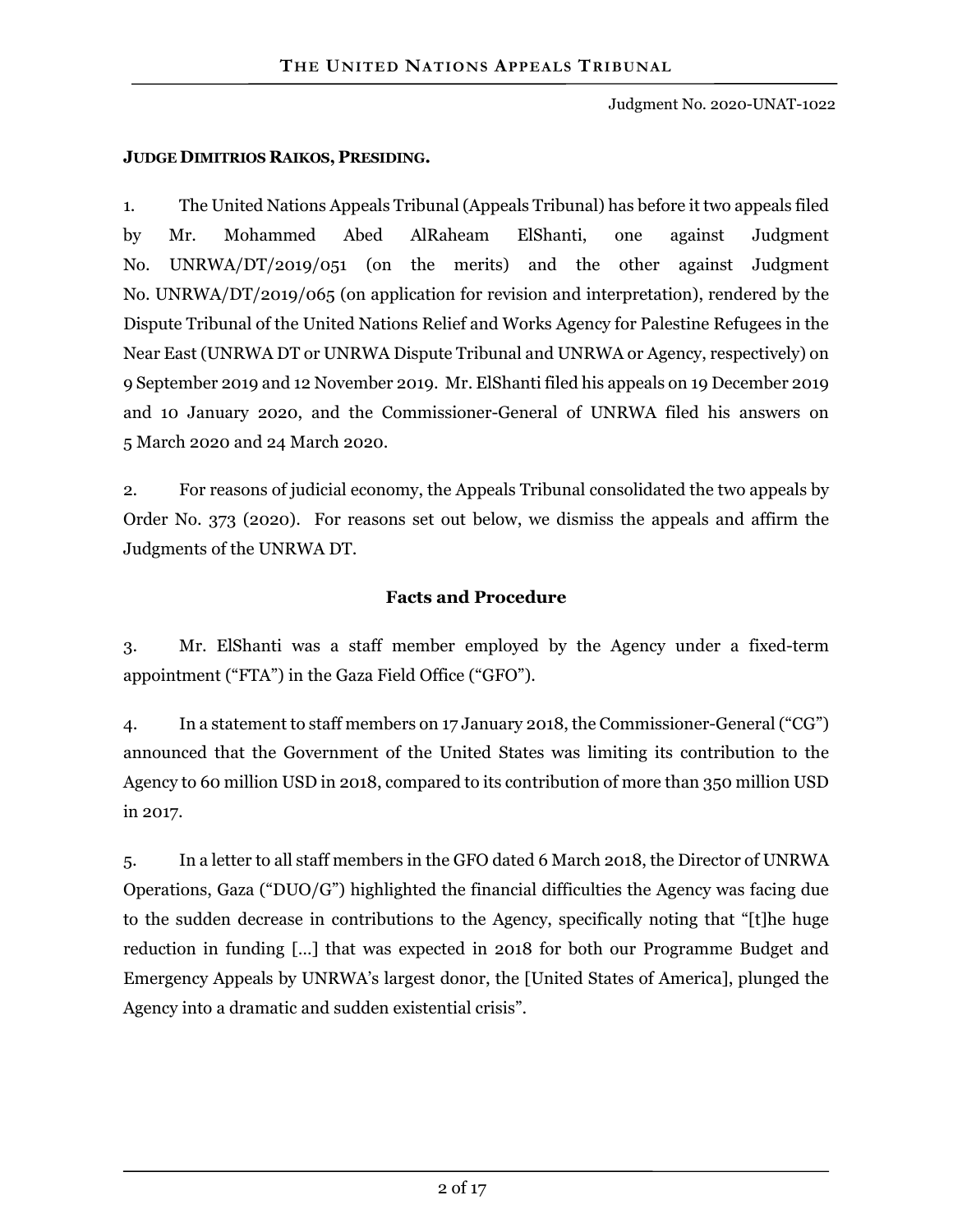Judgment No. 2020-UNAT-1022

#### **JUDGE DIMITRIOS RAIKOS, PRESIDING.**

1. The United Nations Appeals Tribunal (Appeals Tribunal) has before it two appeals filed by Mr. Mohammed Abed AlRaheam ElShanti, one against Judgment No. UNRWA/DT/2019/051 (on the merits) and the other against Judgment No. UNRWA/DT/2019/065 (on application for revision and interpretation), rendered by the Dispute Tribunal of the United Nations Relief and Works Agency for Palestine Refugees in the Near East (UNRWA DT or UNRWA Dispute Tribunal and UNRWA or Agency, respectively) on 9 September 2019 and 12 November 2019. Mr. ElShanti filed his appeals on 19 December 2019 and 10 January 2020, and the Commissioner-General of UNRWA filed his answers on 5 March 2020 and 24 March 2020.

2. For reasons of judicial economy, the Appeals Tribunal consolidated the two appeals by Order No. 373 (2020). For reasons set out below, we dismiss the appeals and affirm the Judgments of the UNRWA DT.

#### **Facts and Procedure**

3. Mr. ElShanti was a staff member employed by the Agency under a fixed-term appointment ("FTA") in the Gaza Field Office ("GFO").

4. In a statement to staff members on 17 January 2018, the Commissioner-General ("CG") announced that the Government of the United States was limiting its contribution to the Agency to 60 million USD in 2018, compared to its contribution of more than 350 million USD in 2017.

5. In a letter to all staff members in the GFO dated 6 March 2018, the Director of UNRWA Operations, Gaza ("DUO/G") highlighted the financial difficulties the Agency was facing due to the sudden decrease in contributions to the Agency, specifically noting that "[t]he huge reduction in funding […] that was expected in 2018 for both our Programme Budget and Emergency Appeals by UNRWA's largest donor, the [United States of America], plunged the Agency into a dramatic and sudden existential crisis".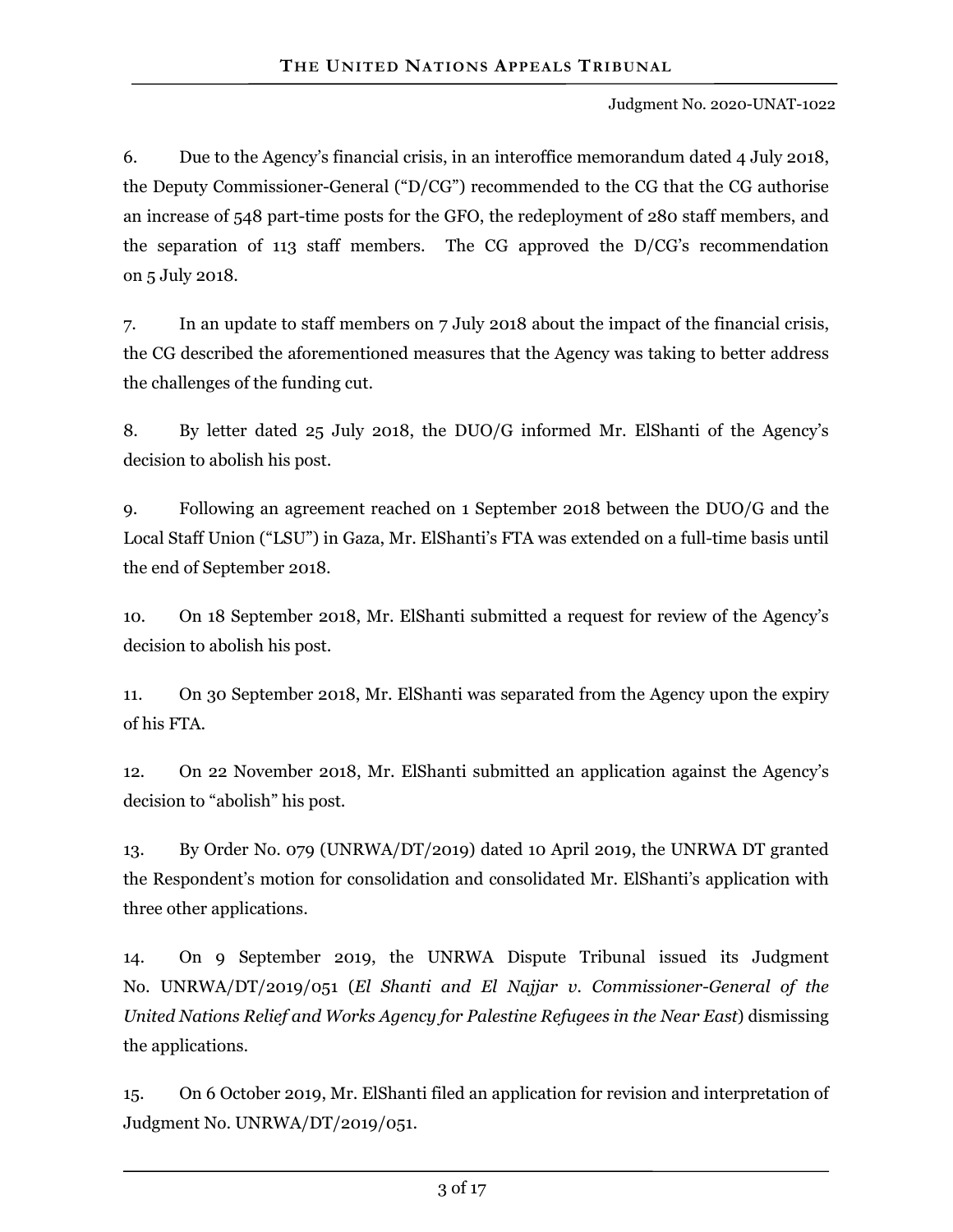6. Due to the Agency's financial crisis, in an interoffice memorandum dated 4 July 2018, the Deputy Commissioner-General ("D/CG") recommended to the CG that the CG authorise an increase of 548 part-time posts for the GFO, the redeployment of 280 staff members, and the separation of 113 staff members. The CG approved the D/CG's recommendation on 5 July 2018.

7. In an update to staff members on 7 July 2018 about the impact of the financial crisis, the CG described the aforementioned measures that the Agency was taking to better address the challenges of the funding cut.

8. By letter dated 25 July 2018, the DUO/G informed Mr. ElShanti of the Agency's decision to abolish his post.

9. Following an agreement reached on 1 September 2018 between the DUO/G and the Local Staff Union ("LSU") in Gaza, Mr. ElShanti's FTA was extended on a full-time basis until the end of September 2018.

10. On 18 September 2018, Mr. ElShanti submitted a request for review of the Agency's decision to abolish his post.

11. On 30 September 2018, Mr. ElShanti was separated from the Agency upon the expiry of his FTA.

12. On 22 November 2018, Mr. ElShanti submitted an application against the Agency's decision to "abolish" his post.

13. By Order No. 079 (UNRWA/DT/2019) dated 10 April 2019, the UNRWA DT granted the Respondent's motion for consolidation and consolidated Mr. ElShanti's application with three other applications.

14. On 9 September 2019, the UNRWA Dispute Tribunal issued its Judgment No. UNRWA/DT/2019/051 (*El Shanti and El Najjar v. Commissioner-General of the United Nations Relief and Works Agency for Palestine Refugees in the Near East*) dismissing the applications.

15. On 6 October 2019, Mr. ElShanti filed an application for revision and interpretation of Judgment No. UNRWA/DT/2019/051.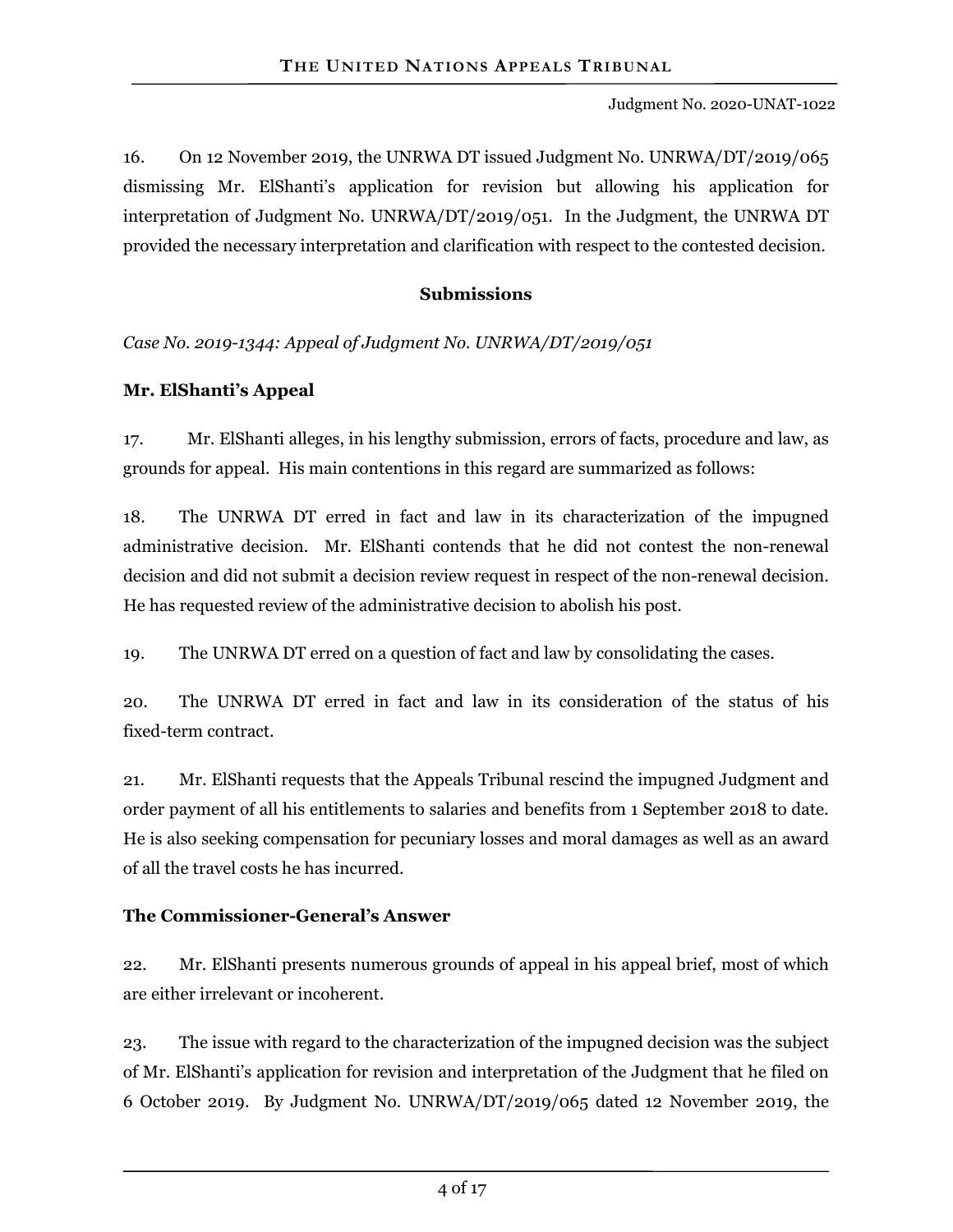16. On 12 November 2019, the UNRWA DT issued Judgment No. UNRWA/DT/2019/065 dismissing Mr. ElShanti's application for revision but allowing his application for interpretation of Judgment No. UNRWA/DT/2019/051. In the Judgment, the UNRWA DT provided the necessary interpretation and clarification with respect to the contested decision.

#### **Submissions**

*Case No. 2019-1344: Appeal of Judgment No. UNRWA/DT/2019/051*

#### **Mr. ElShanti's Appeal**

17. Mr. ElShanti alleges, in his lengthy submission, errors of facts, procedure and law, as grounds for appeal. His main contentions in this regard are summarized as follows:

18. The UNRWA DT erred in fact and law in its characterization of the impugned administrative decision. Mr. ElShanti contends that he did not contest the non-renewal decision and did not submit a decision review request in respect of the non-renewal decision. He has requested review of the administrative decision to abolish his post.

19. The UNRWA DT erred on a question of fact and law by consolidating the cases.

20. The UNRWA DT erred in fact and law in its consideration of the status of his fixed-term contract.

21. Mr. ElShanti requests that the Appeals Tribunal rescind the impugned Judgment and order payment of all his entitlements to salaries and benefits from 1 September 2018 to date. He is also seeking compensation for pecuniary losses and moral damages as well as an award of all the travel costs he has incurred.

#### **The Commissioner-General's Answer**

22. Mr. ElShanti presents numerous grounds of appeal in his appeal brief, most of which are either irrelevant or incoherent.

23. The issue with regard to the characterization of the impugned decision was the subject of Mr. ElShanti's application for revision and interpretation of the Judgment that he filed on 6 October 2019. By Judgment No. UNRWA/DT/2019/065 dated 12 November 2019, the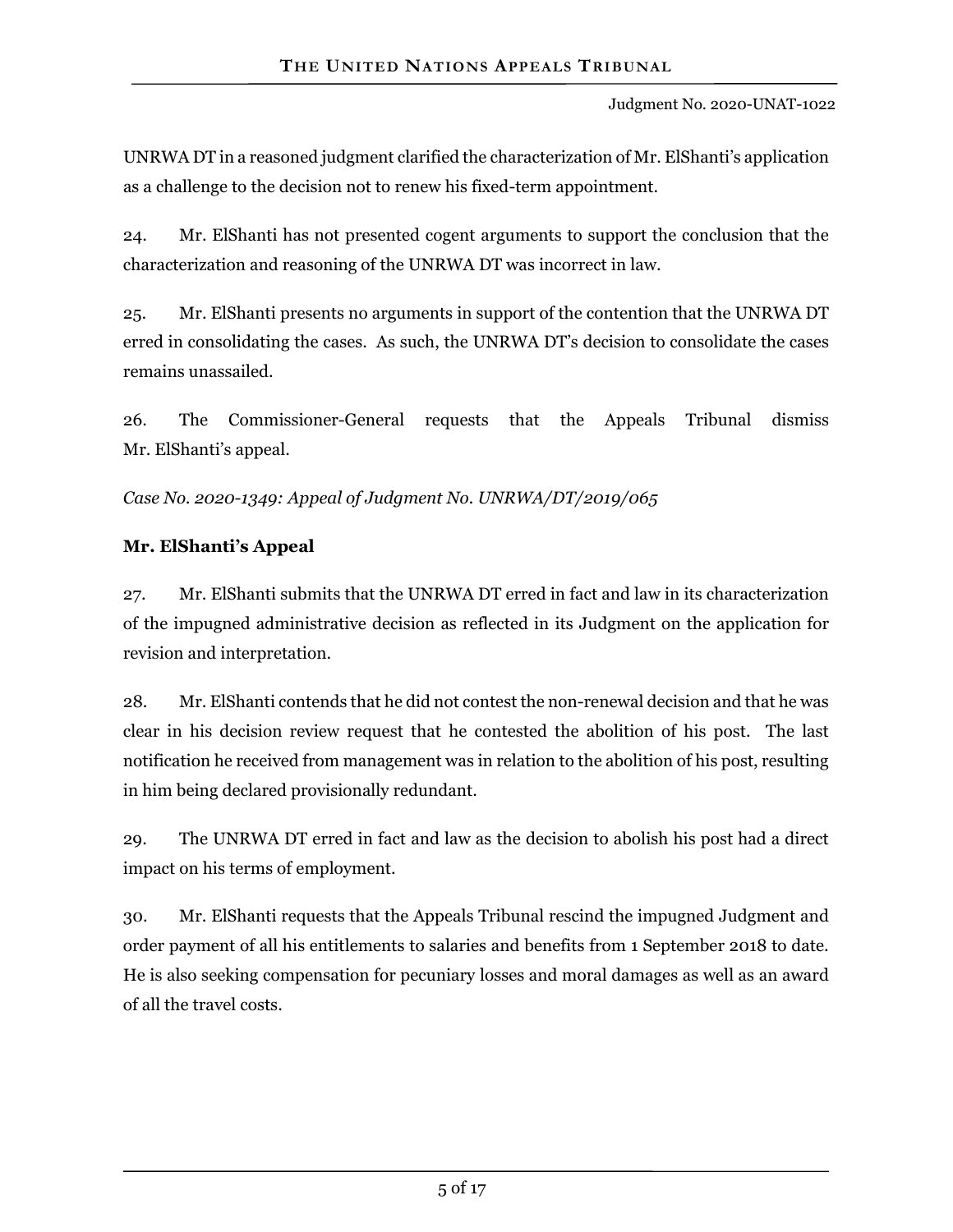UNRWA DT in a reasoned judgment clarified the characterization of Mr. ElShanti's application as a challenge to the decision not to renew his fixed-term appointment.

24. Mr. ElShanti has not presented cogent arguments to support the conclusion that the characterization and reasoning of the UNRWA DT was incorrect in law.

25. Mr. ElShanti presents no arguments in support of the contention that the UNRWA DT erred in consolidating the cases. As such, the UNRWA DT's decision to consolidate the cases remains unassailed.

26. The Commissioner-General requests that the Appeals Tribunal dismiss Mr. ElShanti's appeal.

*Case No. 2020-1349: Appeal of Judgment No. UNRWA/DT/2019/065*

#### **Mr. ElShanti's Appeal**

27. Mr. ElShanti submits that the UNRWA DT erred in fact and law in its characterization of the impugned administrative decision as reflected in its Judgment on the application for revision and interpretation.

28. Mr. ElShanti contends that he did not contest the non-renewal decision and that he was clear in his decision review request that he contested the abolition of his post. The last notification he received from management was in relation to the abolition of his post, resulting in him being declared provisionally redundant.

29. The UNRWA DT erred in fact and law as the decision to abolish his post had a direct impact on his terms of employment.

30. Mr. ElShanti requests that the Appeals Tribunal rescind the impugned Judgment and order payment of all his entitlements to salaries and benefits from 1 September 2018 to date. He is also seeking compensation for pecuniary losses and moral damages as well as an award of all the travel costs.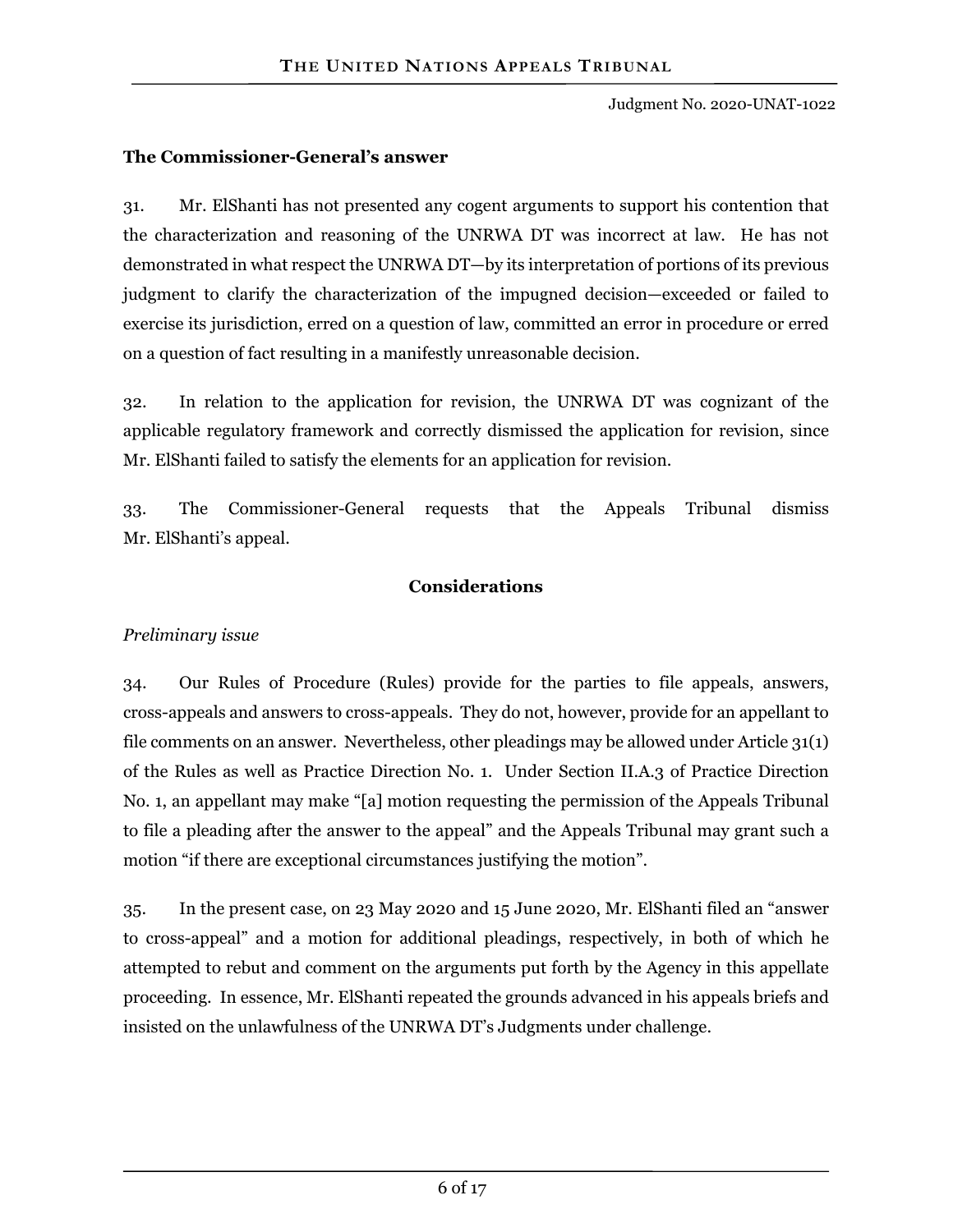#### **The Commissioner-General's answer**

31. Mr. ElShanti has not presented any cogent arguments to support his contention that the characterization and reasoning of the UNRWA DT was incorrect at law. He has not demonstrated in what respect the UNRWA DT—by its interpretation of portions of its previous judgment to clarify the characterization of the impugned decision—exceeded or failed to exercise its jurisdiction, erred on a question of law, committed an error in procedure or erred on a question of fact resulting in a manifestly unreasonable decision.

32. In relation to the application for revision, the UNRWA DT was cognizant of the applicable regulatory framework and correctly dismissed the application for revision, since Mr. ElShanti failed to satisfy the elements for an application for revision.

33. The Commissioner-General requests that the Appeals Tribunal dismiss Mr. ElShanti's appeal.

#### **Considerations**

#### *Preliminary issue*

34. Our Rules of Procedure (Rules) provide for the parties to file appeals, answers, cross-appeals and answers to cross-appeals. They do not, however, provide for an appellant to file comments on an answer. Nevertheless, other pleadings may be allowed under Article 31(1) of the Rules as well as Practice Direction No. 1. Under Section II.A.3 of Practice Direction No. 1, an appellant may make "[a] motion requesting the permission of the Appeals Tribunal to file a pleading after the answer to the appeal" and the Appeals Tribunal may grant such a motion "if there are exceptional circumstances justifying the motion".

35. In the present case, on 23 May 2020 and 15 June 2020, Mr. ElShanti filed an "answer to cross-appeal" and a motion for additional pleadings, respectively, in both of which he attempted to rebut and comment on the arguments put forth by the Agency in this appellate proceeding. In essence, Mr. ElShanti repeated the grounds advanced in his appeals briefs and insisted on the unlawfulness of the UNRWA DT's Judgments under challenge.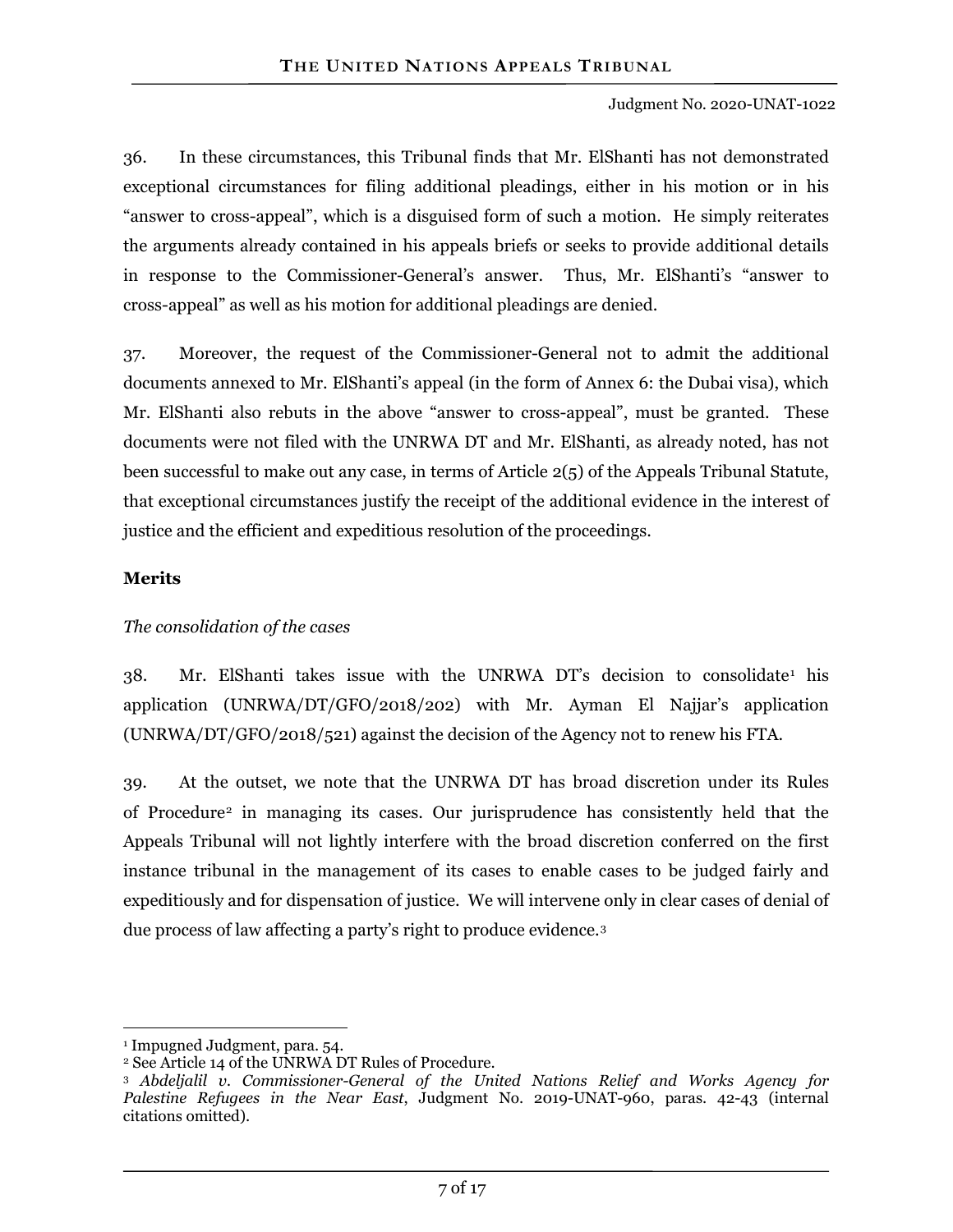36. In these circumstances, this Tribunal finds that Mr. ElShanti has not demonstrated exceptional circumstances for filing additional pleadings, either in his motion or in his "answer to cross-appeal", which is a disguised form of such a motion. He simply reiterates the arguments already contained in his appeals briefs or seeks to provide additional details in response to the Commissioner-General's answer. Thus, Mr. ElShanti's "answer to cross-appeal" as well as his motion for additional pleadings are denied.

37. Moreover, the request of the Commissioner-General not to admit the additional documents annexed to Mr. ElShanti's appeal (in the form of Annex 6: the Dubai visa), which Mr. ElShanti also rebuts in the above "answer to cross-appeal", must be granted. These documents were not filed with the UNRWA DT and Mr. ElShanti, as already noted, has not been successful to make out any case, in terms of Article  $2(5)$  of the Appeals Tribunal Statute, that exceptional circumstances justify the receipt of the additional evidence in the interest of justice and the efficient and expeditious resolution of the proceedings.

#### **Merits**

#### *The consolidation of the cases*

 $38.$  Mr. ElShanti takes issue with the UNRWA DT's decision to consolidate<sup>[1](#page-6-0)</sup> his application (UNRWA/DT/GFO/2018/202) with Mr. Ayman El Najjar's application (UNRWA/DT/GFO/2018/521) against the decision of the Agency not to renew his FTA.

39. At the outset, we note that the UNRWA DT has broad discretion under its Rules of Procedure[2](#page-6-1) in managing its cases. Our jurisprudence has consistently held that the Appeals Tribunal will not lightly interfere with the broad discretion conferred on the first instance tribunal in the management of its cases to enable cases to be judged fairly and expeditiously and for dispensation of justice. We will intervene only in clear cases of denial of due process of law affecting a party's right to produce evidence.[3](#page-6-2)

 $\overline{a}$ 

<span id="page-6-0"></span><sup>1</sup> Impugned Judgment, para. 54.

<span id="page-6-1"></span><sup>2</sup> See Article 14 of the UNRWA DT Rules of Procedure.

<span id="page-6-2"></span><sup>3</sup> *Abdeljalil v. Commissioner-General of the United Nations Relief and Works Agency for Palestine Refugees in the Near East*, Judgment No. 2019-UNAT-960, paras. 42-43 (internal citations omitted).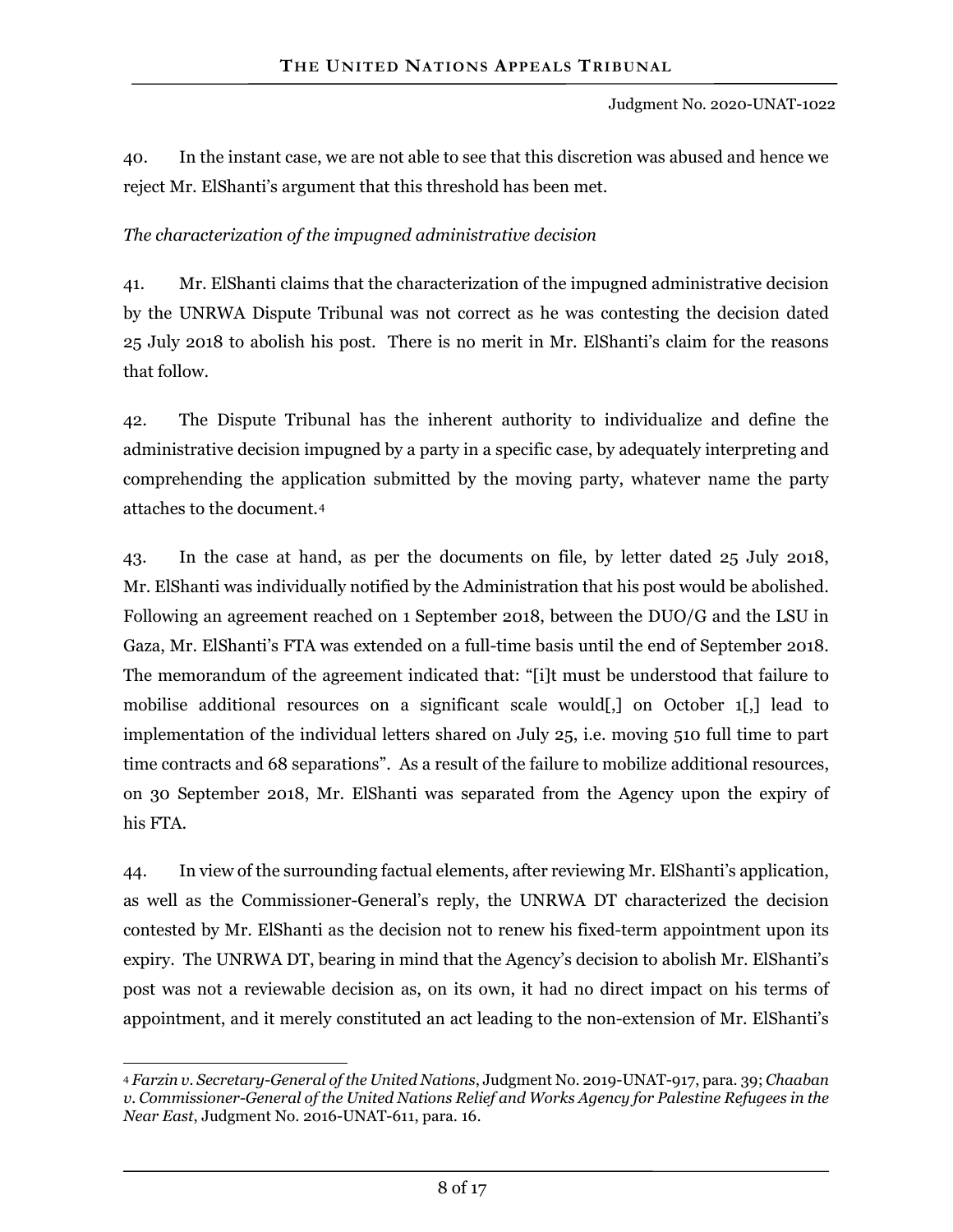40. In the instant case, we are not able to see that this discretion was abused and hence we reject Mr. ElShanti's argument that this threshold has been met.

#### *The characterization of the impugned administrative decision*

41. Mr. ElShanti claims that the characterization of the impugned administrative decision by the UNRWA Dispute Tribunal was not correct as he was contesting the decision dated 25 July 2018 to abolish his post. There is no merit in Mr. ElShanti's claim for the reasons that follow.

42. The Dispute Tribunal has the inherent authority to individualize and define the administrative decision impugned by a party in a specific case, by adequately interpreting and comprehending the application submitted by the moving party, whatever name the party attaches to the document.[4](#page-7-0) 

43. In the case at hand, as per the documents on file, by letter dated 25 July 2018, Mr. ElShanti was individually notified by the Administration that his post would be abolished. Following an agreement reached on 1 September 2018, between the DUO/G and the LSU in Gaza, Mr. ElShanti's FTA was extended on a full-time basis until the end of September 2018. The memorandum of the agreement indicated that: "[i]t must be understood that failure to mobilise additional resources on a significant scale would[,] on October 1[,] lead to implementation of the individual letters shared on July 25, i.e. moving 510 full time to part time contracts and 68 separations". As a result of the failure to mobilize additional resources, on 30 September 2018, Mr. ElShanti was separated from the Agency upon the expiry of his FTA.

44. In view of the surrounding factual elements, after reviewing Mr. ElShanti's application, as well as the Commissioner-General's reply, the UNRWA DT characterized the decision contested by Mr. ElShanti as the decision not to renew his fixed-term appointment upon its expiry. The UNRWA DT, bearing in mind that the Agency's decision to abolish Mr. ElShanti's post was not a reviewable decision as, on its own, it had no direct impact on his terms of appointment, and it merely constituted an act leading to the non-extension of Mr. ElShanti's

<span id="page-7-0"></span> $\overline{a}$ <sup>4</sup> *Farzin v. Secretary-General of the United Nations*, Judgment No. 2019-UNAT-917, para. 39; *Chaaban v. Commissioner-General of the United Nations Relief and Works Agency for Palestine Refugees in the Near East*, Judgment No. 2016-UNAT-611, para. 16.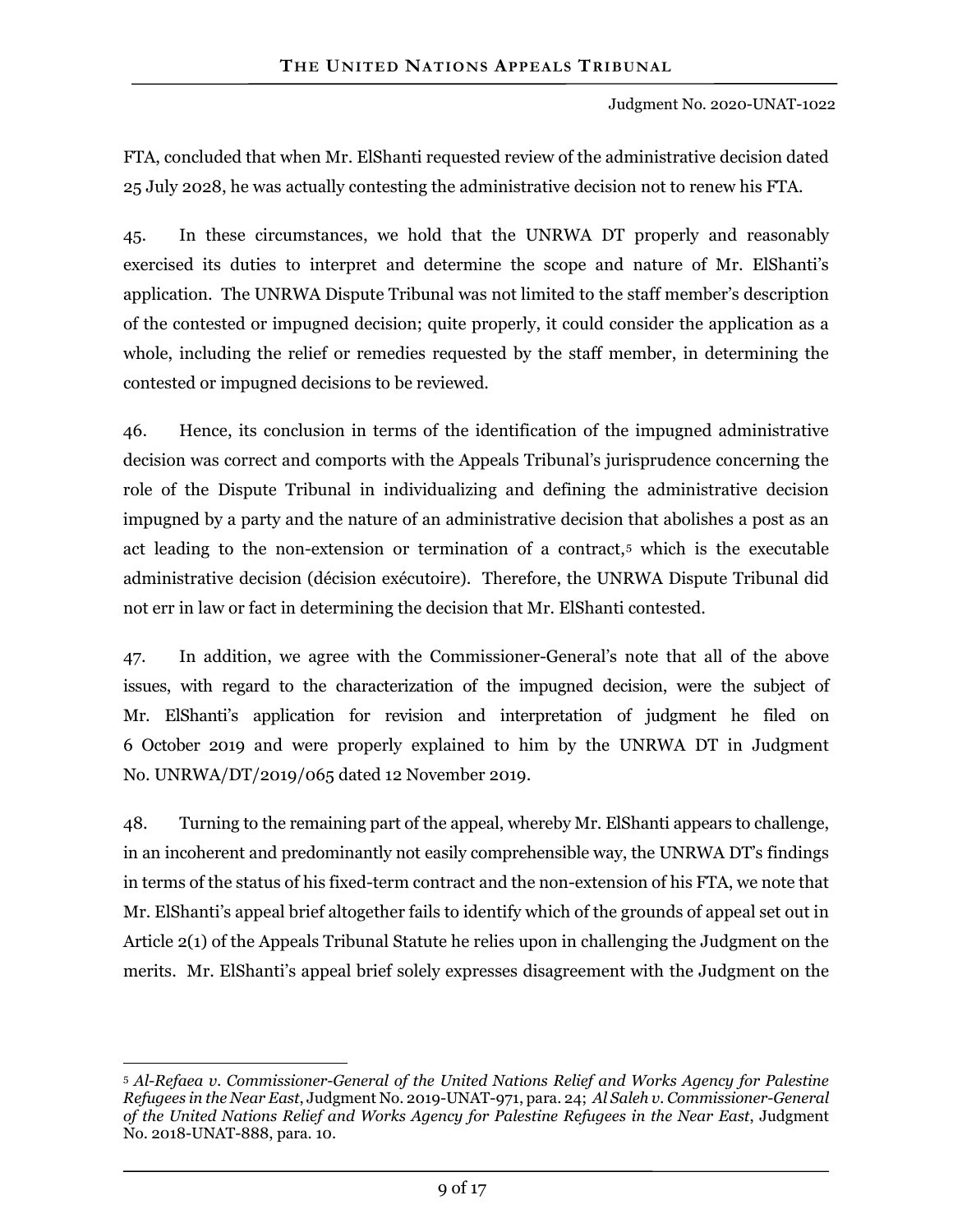FTA, concluded that when Mr. ElShanti requested review of the administrative decision dated 25 July 2028, he was actually contesting the administrative decision not to renew his FTA.

45. In these circumstances, we hold that the UNRWA DT properly and reasonably exercised its duties to interpret and determine the scope and nature of Mr. ElShanti's application. The UNRWA Dispute Tribunal was not limited to the staff member's description of the contested or impugned decision; quite properly, it could consider the application as a whole, including the relief or remedies requested by the staff member, in determining the contested or impugned decisions to be reviewed.

46. Hence, its conclusion in terms of the identification of the impugned administrative decision was correct and comports with the Appeals Tribunal's jurisprudence concerning the role of the Dispute Tribunal in individualizing and defining the administrative decision impugned by a party and the nature of an administrative decision that abolishes a post as an act leading to the non-extension or termination of a contract,[5](#page-8-0) which is the executable administrative decision (décision exécutoire). Therefore, the UNRWA Dispute Tribunal did not err in law or fact in determining the decision that Mr. ElShanti contested.

47. In addition, we agree with the Commissioner-General's note that all of the above issues, with regard to the characterization of the impugned decision, were the subject of Mr. ElShanti's application for revision and interpretation of judgment he filed on 6 October 2019 and were properly explained to him by the UNRWA DT in Judgment No. UNRWA/DT/2019/065 dated 12 November 2019.

48. Turning to the remaining part of the appeal, whereby Mr. ElShanti appears to challenge, in an incoherent and predominantly not easily comprehensible way, the UNRWA DT's findings in terms of the status of his fixed-term contract and the non-extension of his FTA, we note that Mr. ElShanti's appeal brief altogether fails to identify which of the grounds of appeal set out in Article 2(1) of the Appeals Tribunal Statute he relies upon in challenging the Judgment on the merits. Mr. ElShanti's appeal brief solely expresses disagreement with the Judgment on the

<span id="page-8-0"></span> $\overline{a}$ <sup>5</sup> *Al-Refaea v. Commissioner-General of the United Nations Relief and Works Agency for Palestine Refugees in the Near East*, Judgment No. 2019-UNAT-971, para. 24; *Al Saleh v. Commissioner-General of the United Nations Relief and Works Agency for Palestine Refugees in the Near East*, Judgment No. 2018-UNAT-888, para. 10.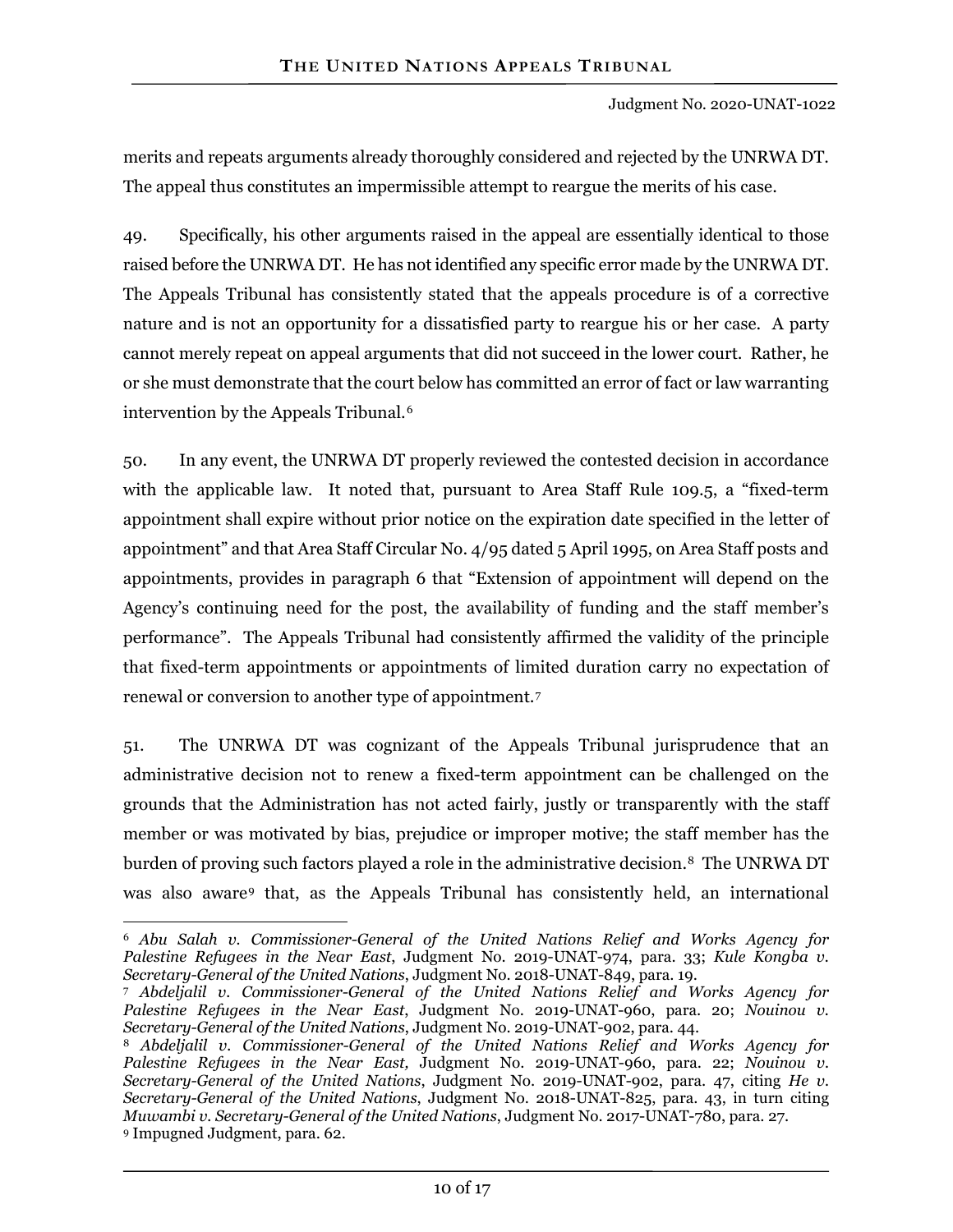merits and repeats arguments already thoroughly considered and rejected by the UNRWA DT. The appeal thus constitutes an impermissible attempt to reargue the merits of his case.

49. Specifically, his other arguments raised in the appeal are essentially identical to those raised before the UNRWA DT. He has not identified any specific error made by the UNRWA DT. The Appeals Tribunal has consistently stated that the appeals procedure is of a corrective nature and is not an opportunity for a dissatisfied party to reargue his or her case. A party cannot merely repeat on appeal arguments that did not succeed in the lower court. Rather, he or she must demonstrate that the court below has committed an error of fact or law warranting intervention by the Appeals Tribunal.[6](#page-9-0)

50. In any event, the UNRWA DT properly reviewed the contested decision in accordance with the applicable law. It noted that, pursuant to Area Staff Rule 109.5, a "fixed-term appointment shall expire without prior notice on the expiration date specified in the letter of appointment" and that Area Staff Circular No. 4/95 dated 5 April 1995, on Area Staff posts and appointments, provides in paragraph 6 that "Extension of appointment will depend on the Agency's continuing need for the post, the availability of funding and the staff member's performance". The Appeals Tribunal had consistently affirmed the validity of the principle that fixed-term appointments or appointments of limited duration carry no expectation of renewal or conversion to another type of appointment.[7](#page-9-1)

51. The UNRWA DT was cognizant of the Appeals Tribunal jurisprudence that an administrative decision not to renew a fixed-term appointment can be challenged on the grounds that the Administration has not acted fairly, justly or transparently with the staff member or was motivated by bias, prejudice or improper motive; the staff member has the burden of proving such factors played a role in the administrative decision.<sup>[8](#page-9-2)</sup> The UNRWA DT was also aware[9](#page-9-3) that, as the Appeals Tribunal has consistently held, an international

 $\overline{a}$ 

<span id="page-9-0"></span><sup>6</sup> *Abu Salah v. Commissioner-General of the United Nations Relief and Works Agency for Palestine Refugees in the Near East*, Judgment No. 2019-UNAT-974, para. 33; *Kule Kongba v. Secretary-General of the United Nations*, Judgment No. 2018-UNAT-849, para. 19.

<span id="page-9-1"></span><sup>7</sup> *Abdeljalil v. Commissioner-General of the United Nations Relief and Works Agency for Palestine Refugees in the Near East*, Judgment No. 2019-UNAT-960, para. 20; *Nouinou v. Secretary-General of the United Nations*, Judgment No. 2019-UNAT-902, para. 44.

<span id="page-9-3"></span><span id="page-9-2"></span><sup>8</sup> *Abdeljalil v. Commissioner-General of the United Nations Relief and Works Agency for Palestine Refugees in the Near East,* Judgment No. 2019-UNAT-960, para. 22; *Nouinou v. Secretary-General of the United Nations*, Judgment No. 2019-UNAT-902, para. 47, citing *He v. Secretary-General of the United Nations*, Judgment No. 2018-UNAT-825, para. 43, in turn citing *Muwambi v. Secretary-General of the United Nations*, Judgment No. 2017-UNAT-780, para. 27. <sup>9</sup> Impugned Judgment, para. 62.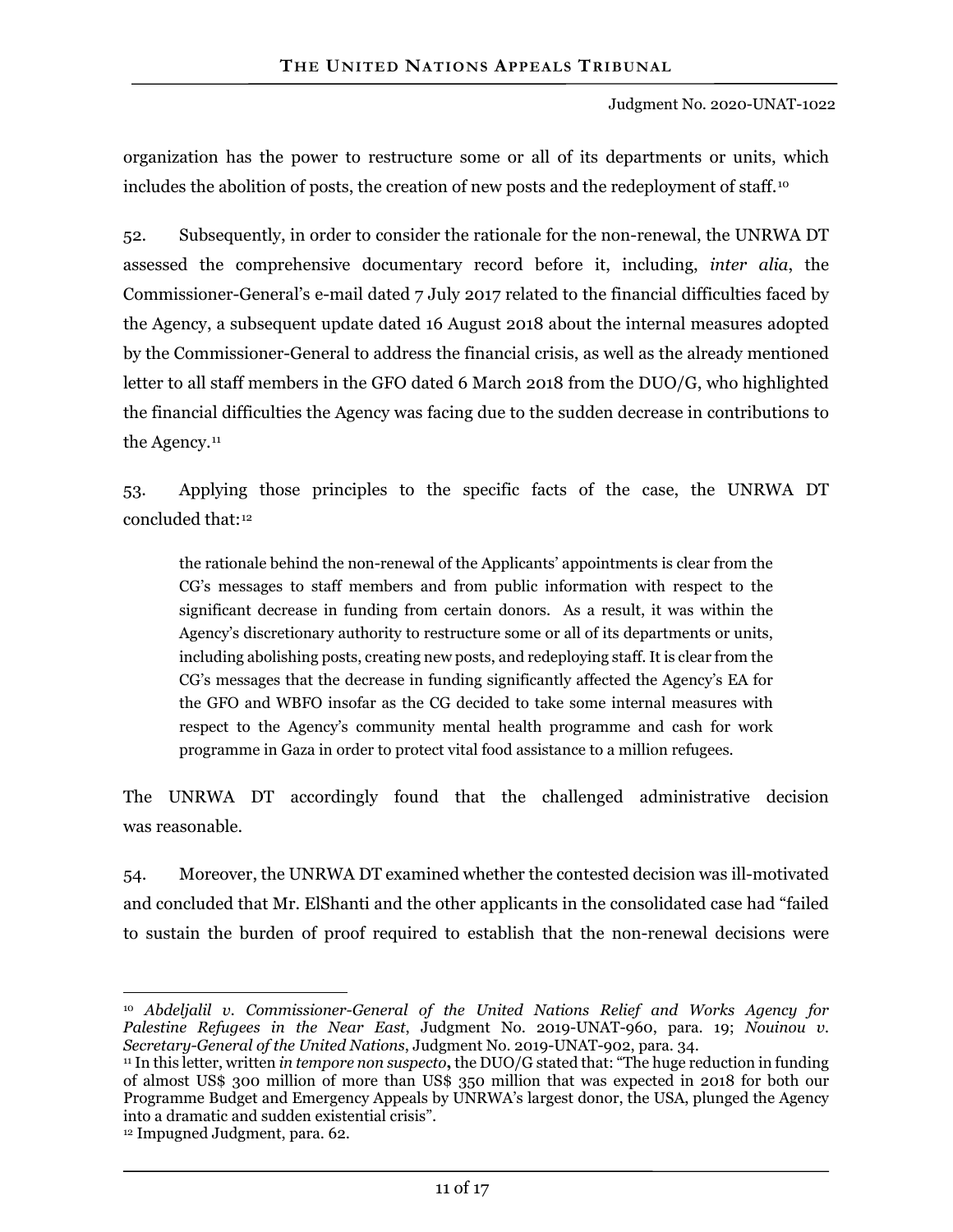organization has the power to restructure some or all of its departments or units, which includes the abolition of posts, the creation of new posts and the redeployment of staff.<sup>[10](#page-10-0)</sup>

52. Subsequently, in order to consider the rationale for the non-renewal, the UNRWA DT assessed the comprehensive documentary record before it, including, *inter alia*, the Commissioner-General's e-mail dated 7 July 2017 related to the financial difficulties faced by the Agency, a subsequent update dated 16 August 2018 about the internal measures adopted by the Commissioner-General to address the financial crisis, as well as the already mentioned letter to all staff members in the GFO dated 6 March 2018 from the DUO/G, who highlighted the financial difficulties the Agency was facing due to the sudden decrease in contributions to the Agency.<sup>[11](#page-10-1)</sup>

53. Applying those principles to the specific facts of the case, the UNRWA DT concluded that:[12](#page-10-2)

the rationale behind the non-renewal of the Applicants' appointments is clear from the CG's messages to staff members and from public information with respect to the significant decrease in funding from certain donors. As a result, it was within the Agency's discretionary authority to restructure some or all of its departments or units, including abolishing posts, creating new posts, and redeploying staff. It is clear from the CG's messages that the decrease in funding significantly affected the Agency's EA for the GFO and WBFO insofar as the CG decided to take some internal measures with respect to the Agency's community mental health programme and cash for work programme in Gaza in order to protect vital food assistance to a million refugees.

The UNRWA DT accordingly found that the challenged administrative decision was reasonable.

54. Moreover, the UNRWA DT examined whether the contested decision was ill-motivated and concluded that Mr. ElShanti and the other applicants in the consolidated case had "failed to sustain the burden of proof required to establish that the non-renewal decisions were

<span id="page-10-0"></span> $\overline{a}$ <sup>10</sup> *Abdeljalil v. Commissioner-General of the United Nations Relief and Works Agency for Palestine Refugees in the Near East*, Judgment No. 2019-UNAT-960, para. 19; *Nouinou v. Secretary-General of the United Nations*, Judgment No. 2019-UNAT-902, para. 34.

<span id="page-10-1"></span><sup>11</sup> In this letter, written *in tempore non suspecto***,** the DUO/G stated that: "The huge reduction in funding of almost US\$ 300 million of more than US\$ 350 million that was expected in 2018 for both our Programme Budget and Emergency Appeals by UNRWA's largest donor, the USA, plunged the Agency into a dramatic and sudden existential crisis".

<span id="page-10-2"></span><sup>12</sup> Impugned Judgment, para. 62.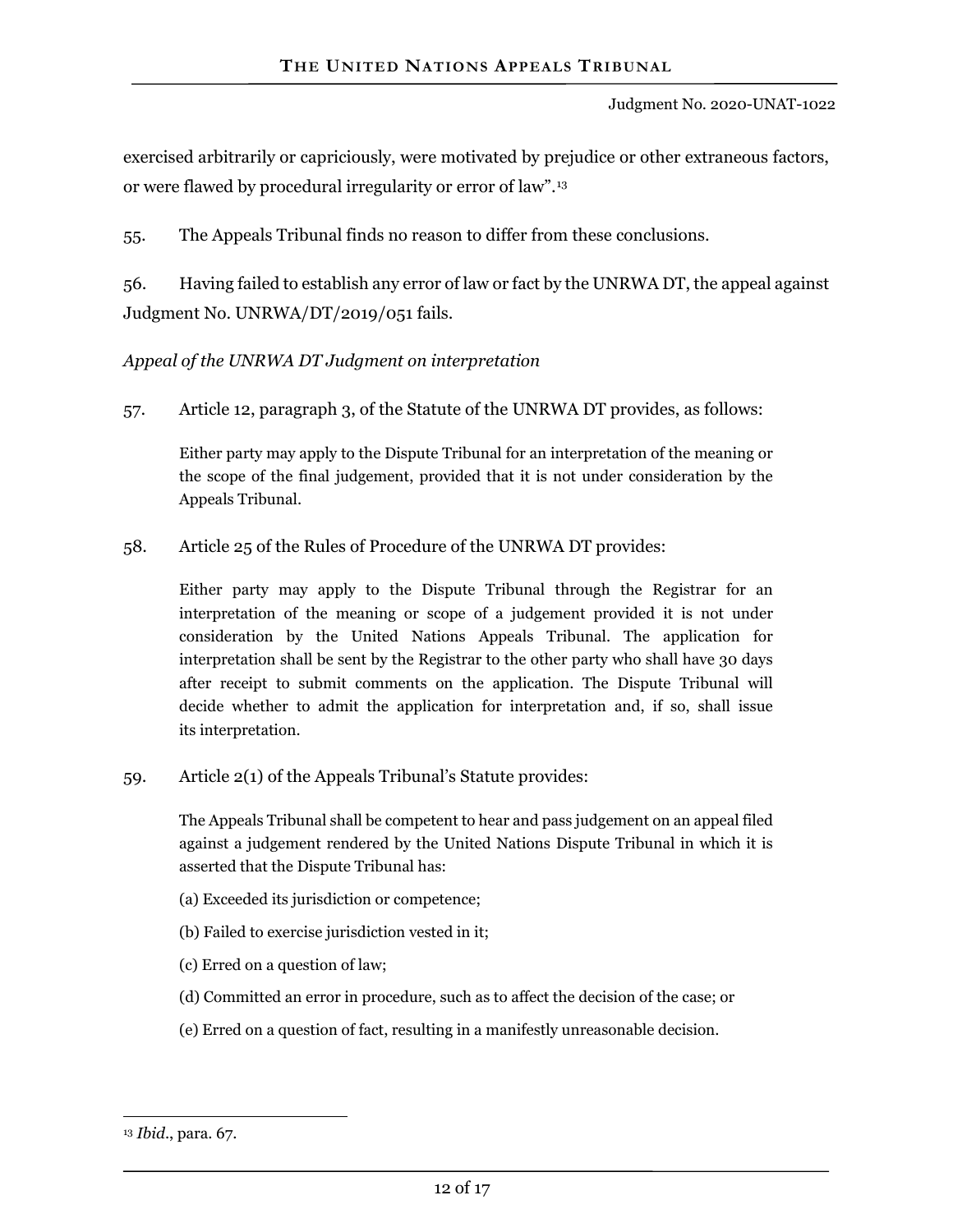exercised arbitrarily or capriciously, were motivated by prejudice or other extraneous factors, or were flawed by procedural irregularity or error of law".[13](#page-11-0)

55. The Appeals Tribunal finds no reason to differ from these conclusions.

56. Having failed to establish any error of law or fact by the UNRWA DT, the appeal against Judgment No. UNRWA/DT/2019/051 fails.

*Appeal of the UNRWA DT Judgment on interpretation*

57. Article 12, paragraph 3, of the Statute of the UNRWA DT provides, as follows:

Either party may apply to the Dispute Tribunal for an interpretation of the meaning or the scope of the final judgement, provided that it is not under consideration by the Appeals Tribunal.

58. Article 25 of the Rules of Procedure of the UNRWA DT provides:

Either party may apply to the Dispute Tribunal through the Registrar for an interpretation of the meaning or scope of a judgement provided it is not under consideration by the United Nations Appeals Tribunal. The application for interpretation shall be sent by the Registrar to the other party who shall have 30 days after receipt to submit comments on the application. The Dispute Tribunal will decide whether to admit the application for interpretation and, if so, shall issue its interpretation.

59. Article 2(1) of the Appeals Tribunal's Statute provides:

The Appeals Tribunal shall be competent to hear and pass judgement on an appeal filed against a judgement rendered by the United Nations Dispute Tribunal in which it is asserted that the Dispute Tribunal has:

- (a) Exceeded its jurisdiction or competence;
- (b) Failed to exercise jurisdiction vested in it;
- (c) Erred on a question of law;
- (d) Committed an error in procedure, such as to affect the decision of the case; or
- (e) Erred on a question of fact, resulting in a manifestly unreasonable decision.

<span id="page-11-0"></span> $\overline{a}$ <sup>13</sup> *Ibid*., para. 67.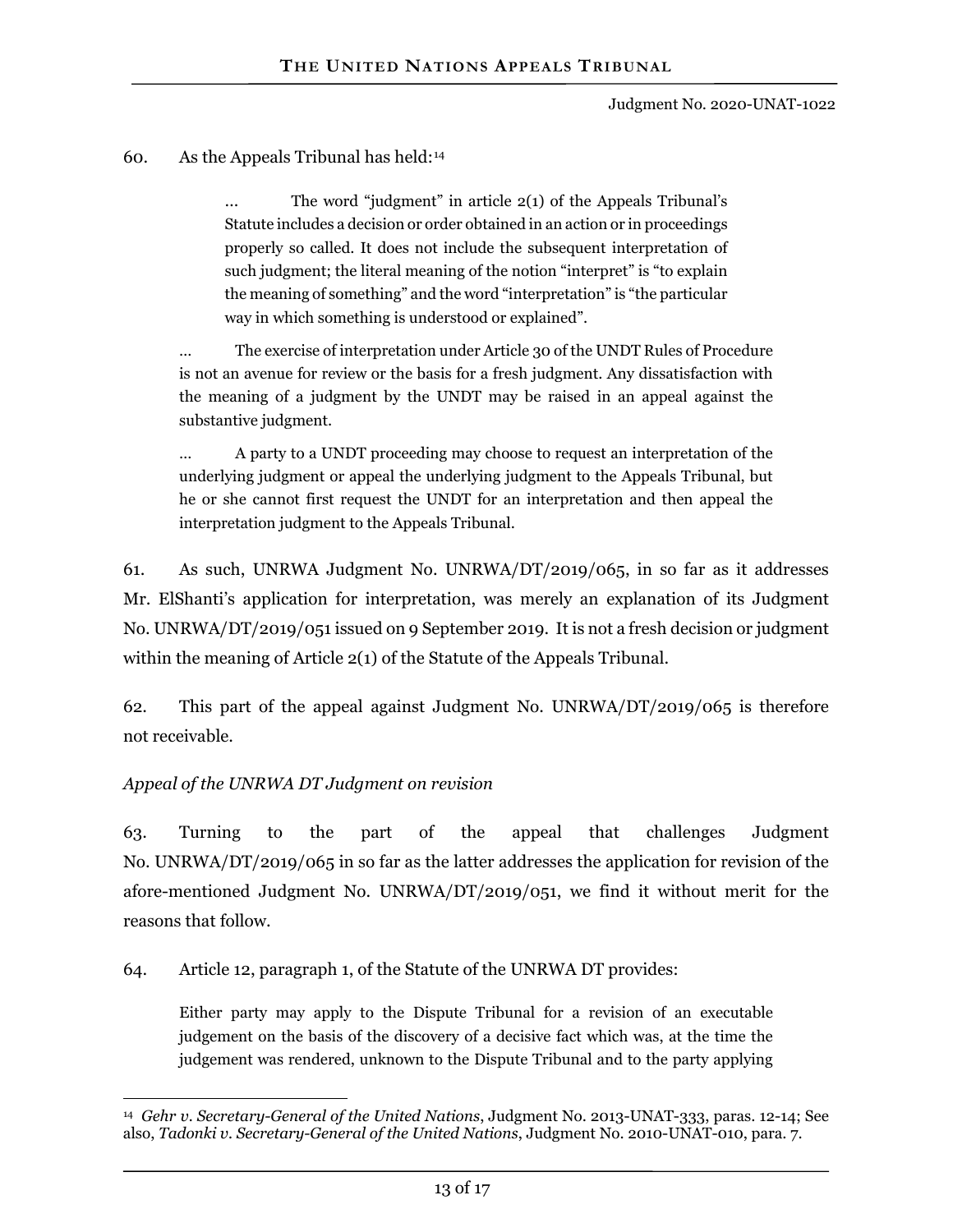#### 60. As the Appeals Tribunal has held:[14](#page-12-0)

… The word "judgment" in article 2(1) of the Appeals Tribunal's Statute includes a decision or order obtained in an action or in proceedings properly so called. It does not include the subsequent interpretation of such judgment; the literal meaning of the notion "interpret" is "to explain the meaning of something" and the word "interpretation" is "the particular way in which something is understood or explained".

… The exercise of interpretation under Article 30 of the UNDT Rules of Procedure is not an avenue for review or the basis for a fresh judgment. Any dissatisfaction with the meaning of a judgment by the UNDT may be raised in an appeal against the substantive judgment.

… A party to a UNDT proceeding may choose to request an interpretation of the underlying judgment or appeal the underlying judgment to the Appeals Tribunal, but he or she cannot first request the UNDT for an interpretation and then appeal the interpretation judgment to the Appeals Tribunal.

61. As such, UNRWA Judgment No. UNRWA/DT/2019/065, in so far as it addresses Mr. ElShanti's application for interpretation, was merely an explanation of its Judgment No. UNRWA/DT/2019/051 issued on 9 September 2019. It is not a fresh decision or judgment within the meaning of Article 2(1) of the Statute of the Appeals Tribunal.

62. This part of the appeal against Judgment No. UNRWA/DT/2019/065 is therefore not receivable.

#### *Appeal of the UNRWA DT Judgment on revision*

63. Turning to the part of the appeal that challenges Judgment No. UNRWA/DT/2019/065 in so far as the latter addresses the application for revision of the afore-mentioned Judgment No. UNRWA/DT/2019/051, we find it without merit for the reasons that follow.

64. Article 12, paragraph 1, of the Statute of the UNRWA DT provides:

Either party may apply to the Dispute Tribunal for a revision of an executable judgement on the basis of the discovery of a decisive fact which was, at the time the judgement was rendered, unknown to the Dispute Tribunal and to the party applying

<span id="page-12-0"></span> $\overline{a}$ 14 *Gehr v. Secretary-General of the United Nations*, Judgment No. 2013-UNAT-333, paras. 12-14; See also, *Tadonki v. Secretary-General of the United Nations*, Judgment No. 2010-UNAT-010, para. 7.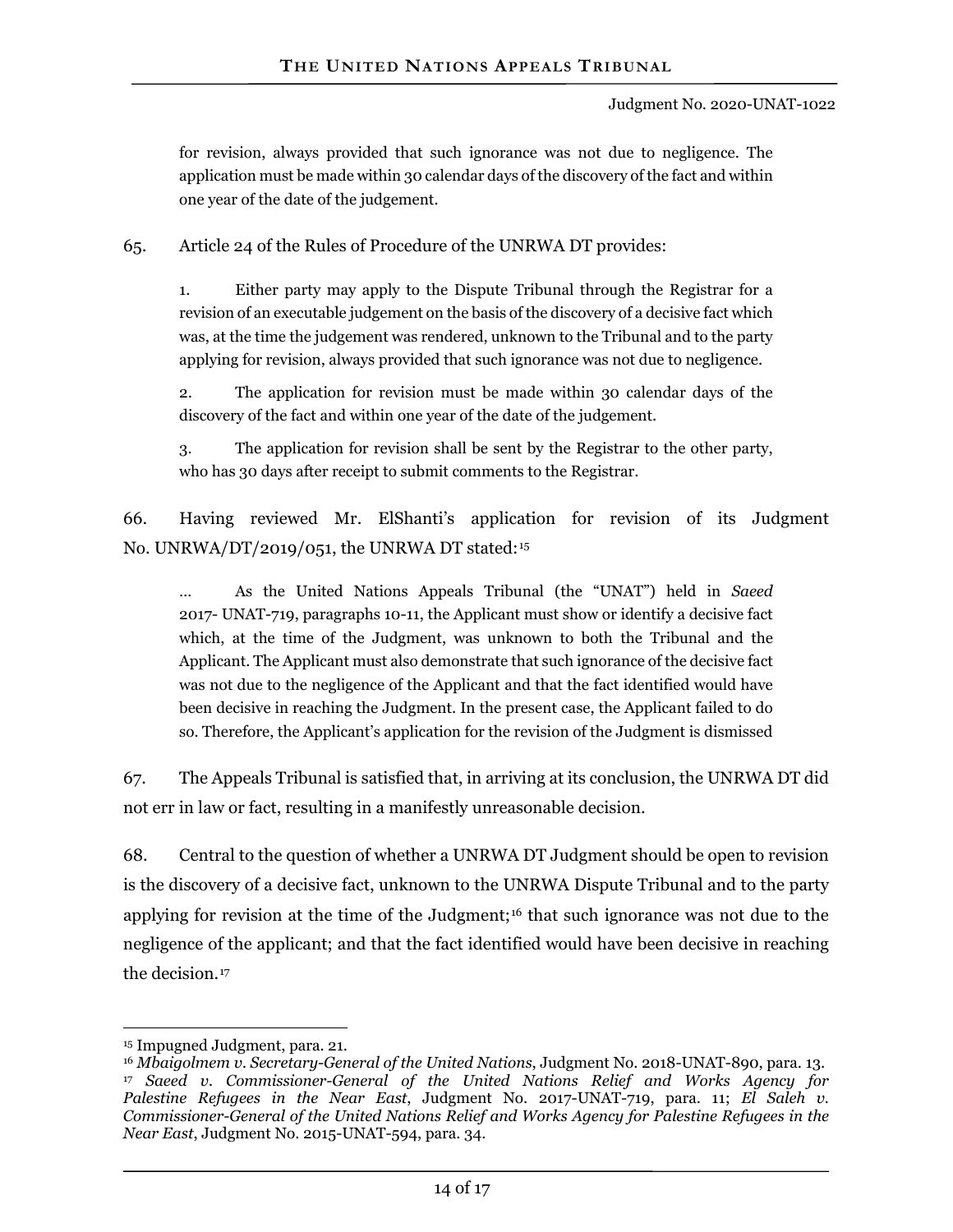for revision, always provided that such ignorance was not due to negligence. The application must be made within 30 calendar days of the discovery of the fact and within one year of the date of the judgement.

65. Article 24 of the Rules of Procedure of the UNRWA DT provides:

1. Either party may apply to the Dispute Tribunal through the Registrar for a revision of an executable judgement on the basis of the discovery of a decisive fact which was, at the time the judgement was rendered, unknown to the Tribunal and to the party applying for revision, always provided that such ignorance was not due to negligence.

2. The application for revision must be made within 30 calendar days of the discovery of the fact and within one year of the date of the judgement.

3. The application for revision shall be sent by the Registrar to the other party, who has 30 days after receipt to submit comments to the Registrar.

66. Having reviewed Mr. ElShanti's application for revision of its Judgment No. UNRWA/DT/2019/051, the UNRWA DT stated:[15](#page-13-0)

… As the United Nations Appeals Tribunal (the "UNAT") held in *Saeed* 2017- UNAT-719, paragraphs 10-11, the Applicant must show or identify a decisive fact which, at the time of the Judgment, was unknown to both the Tribunal and the Applicant. The Applicant must also demonstrate that such ignorance of the decisive fact was not due to the negligence of the Applicant and that the fact identified would have been decisive in reaching the Judgment. In the present case, the Applicant failed to do so. Therefore, the Applicant's application for the revision of the Judgment is dismissed

67. The Appeals Tribunal is satisfied that, in arriving at its conclusion, the UNRWA DT did not err in law or fact, resulting in a manifestly unreasonable decision.

68. Central to the question of whether a UNRWA DT Judgment should be open to revision is the discovery of a decisive fact, unknown to the UNRWA Dispute Tribunal and to the party applying for revision at the time of the Judgment;<sup>[16](#page-13-1)</sup> that such ignorance was not due to the negligence of the applicant; and that the fact identified would have been decisive in reaching the decision.[17](#page-13-2)

 $\overline{a}$ 

<span id="page-13-0"></span><sup>15</sup> Impugned Judgment, para. 21.

<span id="page-13-2"></span><span id="page-13-1"></span><sup>16</sup> *Mbaigolmem v. Secretary-General of the United Nations*, Judgment No. 2018-UNAT-890, para. 13. <sup>17</sup> *Saeed v. Commissioner-General of the United Nations Relief and Works Agency for Palestine Refugees in the Near East*, Judgment No. 2017-UNAT-719, para. 11; *El Saleh v. Commissioner-General of the United Nations Relief and Works Agency for Palestine Refugees in the Near East*, Judgment No. 2015-UNAT-594, para. 34.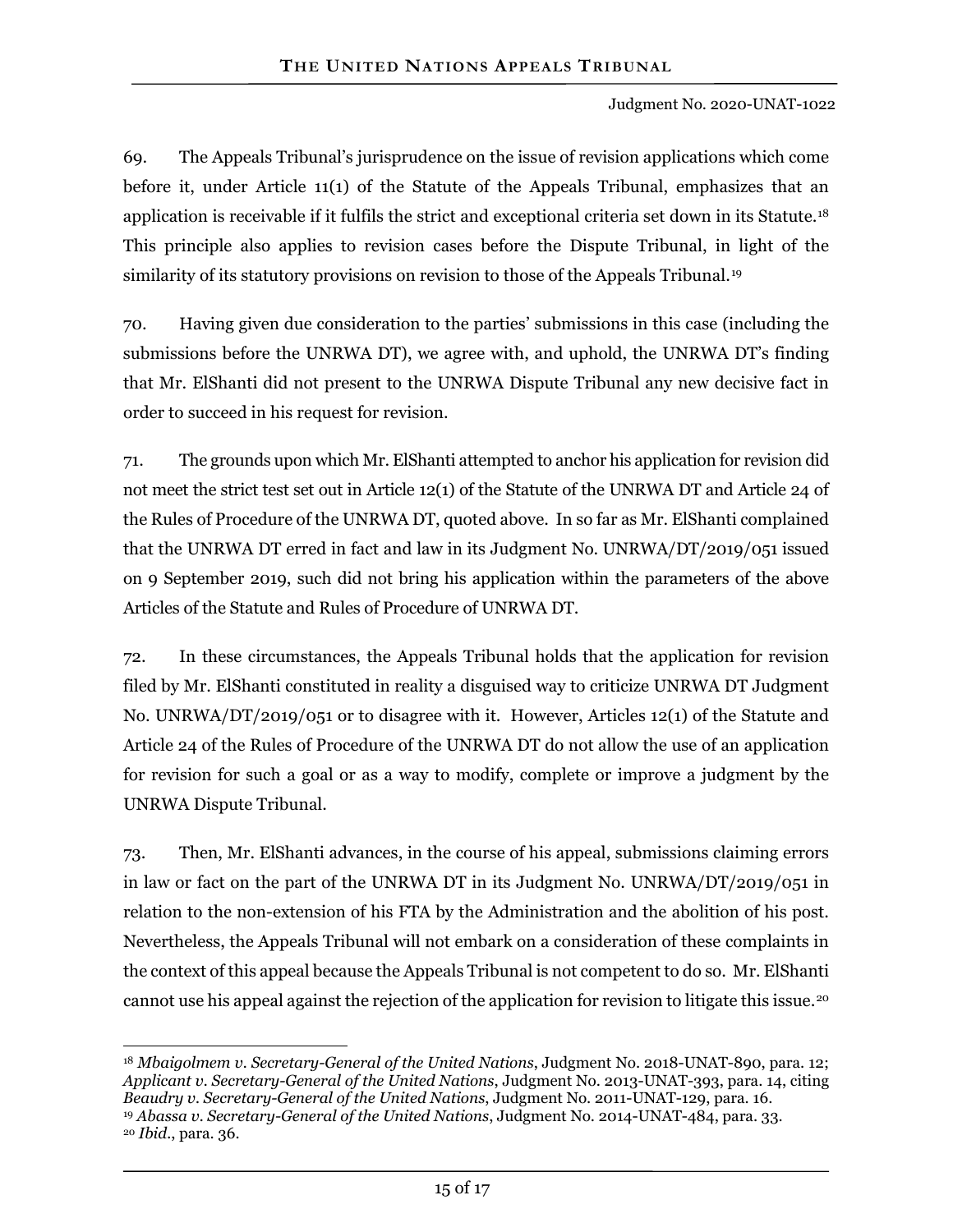69. The Appeals Tribunal's jurisprudence on the issue of revision applications which come before it, under Article 11(1) of the Statute of the Appeals Tribunal, emphasizes that an application is receivable if it fulfils the strict and exceptional criteria set down in its Statute.[18](#page-14-0) This principle also applies to revision cases before the Dispute Tribunal, in light of the similarity of its statutory provisions on revision to those of the Appeals Tribunal.<sup>19</sup>

70. Having given due consideration to the parties' submissions in this case (including the submissions before the UNRWA DT), we agree with, and uphold, the UNRWA DT's finding that Mr. ElShanti did not present to the UNRWA Dispute Tribunal any new decisive fact in order to succeed in his request for revision.

71. The grounds upon which Mr. ElShanti attempted to anchor his application for revision did not meet the strict test set out in Article 12(1) of the Statute of the UNRWA DT and Article 24 of the Rules of Procedure of the UNRWA DT, quoted above. In so far as Mr. ElShanti complained that the UNRWA DT erred in fact and law in its Judgment No. UNRWA/DT/2019/051 issued on 9 September 2019, such did not bring his application within the parameters of the above Articles of the Statute and Rules of Procedure of UNRWA DT.

72. In these circumstances, the Appeals Tribunal holds that the application for revision filed by Mr. ElShanti constituted in reality a disguised way to criticize UNRWA DT Judgment No. UNRWA/DT/2019/051 or to disagree with it. However, Articles 12(1) of the Statute and Article 24 of the Rules of Procedure of the UNRWA DT do not allow the use of an application for revision for such a goal or as a way to modify, complete or improve a judgment by the UNRWA Dispute Tribunal.

73. Then, Mr. ElShanti advances, in the course of his appeal, submissions claiming errors in law or fact on the part of the UNRWA DT in its Judgment No. UNRWA/DT/2019/051 in relation to the non-extension of his FTA by the Administration and the abolition of his post. Nevertheless, the Appeals Tribunal will not embark on a consideration of these complaints in the context of this appeal because the Appeals Tribunal is not competent to do so. Mr. ElShanti cannot use his appeal against the rejection of the application for revision to litigate this issue.[20](#page-14-2)

<span id="page-14-1"></span><sup>19</sup> *Abassa v. Secretary-General of the United Nations*, Judgment No. 2014-UNAT-484, para. 33.

<span id="page-14-0"></span> $\overline{a}$ <sup>18</sup> *Mbaigolmem v. Secretary-General of the United Nations*, Judgment No. 2018-UNAT-890, para. 12; *Applicant v. Secretary-General of the United Nations*, Judgment No. 2013-UNAT-393, para. 14, citing *Beaudry v. Secretary-General of the United Nations*, Judgment No. 2011-UNAT-129, para. 16.

<span id="page-14-2"></span><sup>20</sup> *Ibid.*, para. 36.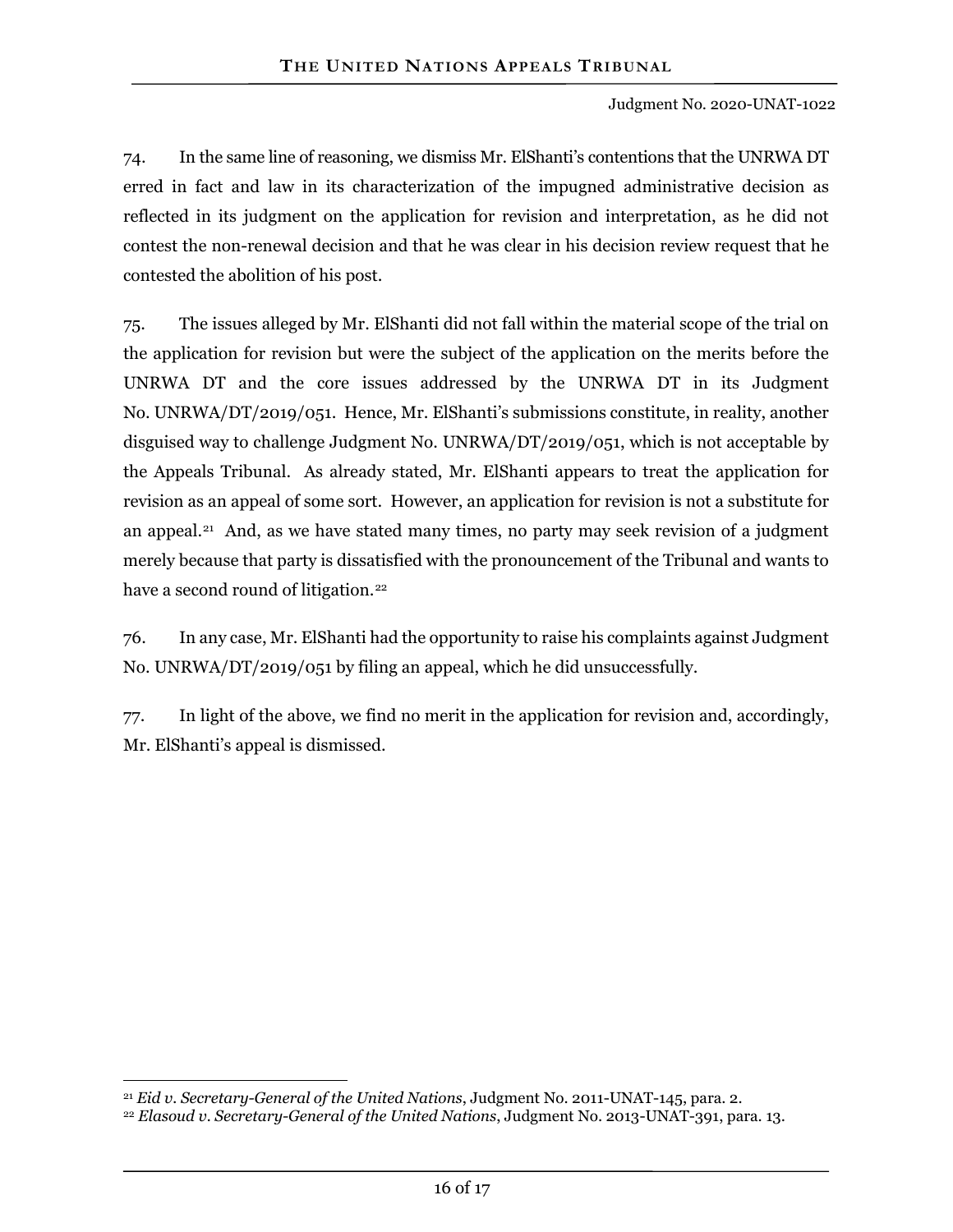74. In the same line of reasoning, we dismiss Mr. ElShanti's contentions that the UNRWA DT erred in fact and law in its characterization of the impugned administrative decision as reflected in its judgment on the application for revision and interpretation, as he did not contest the non-renewal decision and that he was clear in his decision review request that he contested the abolition of his post.

75. The issues alleged by Mr. ElShanti did not fall within the material scope of the trial on the application for revision but were the subject of the application on the merits before the UNRWA DT and the core issues addressed by the UNRWA DT in its Judgment No. UNRWA/DT/2019/051. Hence, Mr. ElShanti's submissions constitute, in reality, another disguised way to challenge Judgment No. UNRWA/DT/2019/051, which is not acceptable by the Appeals Tribunal. As already stated, Mr. ElShanti appears to treat the application for revision as an appeal of some sort. However, an application for revision is not a substitute for an appeal.<sup>21</sup> And, as we have stated many times, no party may seek revision of a judgment merely because that party is dissatisfied with the pronouncement of the Tribunal and wants to have a second round of litigation.<sup>[22](#page-15-1)</sup>

76. In any case, Mr. ElShanti had the opportunity to raise his complaints against Judgment No. UNRWA/DT/2019/051 by filing an appeal, which he did unsuccessfully.

77. In light of the above, we find no merit in the application for revision and, accordingly, Mr. ElShanti's appeal is dismissed.

 $\overline{a}$ <sup>21</sup> *Eid v. Secretary-General of the United Nations*, Judgment No. 2011-UNAT-145, para. 2.

<span id="page-15-1"></span><span id="page-15-0"></span><sup>22</sup> *Elasoud v. Secretary-General of the United Nations*, Judgment No. 2013-UNAT-391, para. 13.